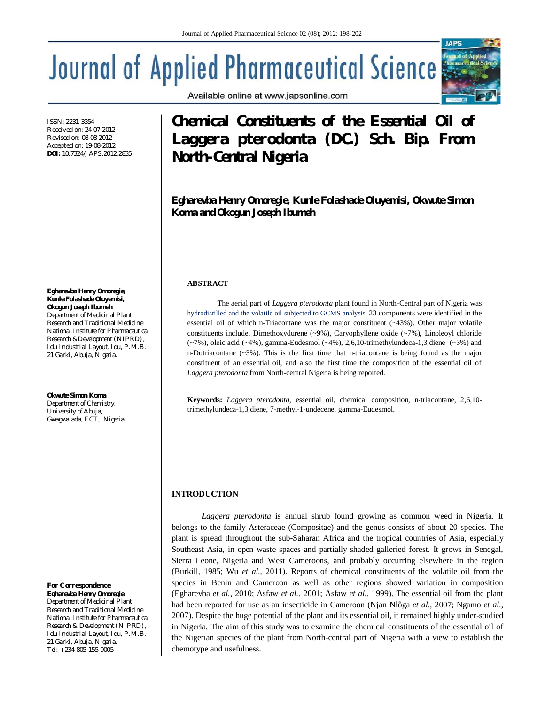# **Journal of Applied Pharmaceutical Science**

ISSN: 2231-3354 Received on: 24-07-2012 Revised on: 08-08-2012 Accepted on: 19-08-2012 **DOI:** 10.7324/JAPS.2012.2835

**Egharevba Henry Omoregie, Kunle Folashade Oluyemisi, Okogun Joseph Ibumeh** *Department of Medicinal Plant Research and Traditional Medicine National Institute for Pharmaceutical Research &Development (NIPRD),* 

*Idu Industrial Layout, Idu, P.M.B. 21 Garki, Abuja, Nigeria.*

#### **Okwute Simon Koma**

*Department of Chemistry, University of Abuja, Gwagwalada, FCT, Nigeria*

#### *For Correspondence* **Egharevba Henry Omoregie**

*Department of Medicinal Plant Research and Traditional Medicine National Institute for Pharmaceutical Research & Development (NIPRD), Idu Industrial Layout, Idu, P.M.B. 21 Garki, Abuja, Nigeria. Tel: +234-805-155-9005*

Available online at www.japsonline.com

# **Chemical Constituents of the Essential Oil of**  *Laggera pterodonta* **(DC.) Sch. Bip. From North-Central Nigeria**

**IAPS** 

**Egharevba Henry Omoregie, Kunle Folashade Oluyemisi, Okwute Simon Koma and Okogun Joseph Ibumeh**

### **ABSTRACT**

The aerial part of *Laggera pterodonta* plant found in North-Central part of Nigeria was hydrodistilled and the volatile oil subjected to GCMS analysis. 23 components were identified in the essential oil of which n-Triacontane was the major constituent (~43%). Other major volatile constituents include, Dimethoxydurene (~9%), Caryophyllene oxide (~7%), Linoleoyl chloride (~7%), oleic acid (~4%), gamma-Eudesmol (~4%), 2,6,10-trimethylundeca-1,3,diene (~3%) and n-Dotriacontane  $(\sim 3\%)$ . This is the first time that n-triacontane is being found as the major constituent of an essential oil, and also the first time the composition of the essential oil of *Laggera pterodonta* from North-central Nigeria is being reported.

**Keywords:** *Laggera pterodonta*, essential oil, chemical composition, n-triacontane, 2,6,10 trimethylundeca-1,3,diene, 7-methyl-1-undecene, gamma-Eudesmol.

# **INTRODUCTION**

*Laggera pterodonta* is annual shrub found growing as common weed in Nigeria. It belongs to the family Asteraceae (Compositae) and the genus consists of about 20 species*.* The plant is spread throughout the sub-Saharan Africa and the tropical countries of Asia, especially Southeast Asia, in open waste spaces and partially shaded galleried forest. It grows in Senegal, Sierra Leone, Nigeria and West Cameroons, and probably occurring elsewhere in the region (Burkill, 1985; Wu *et al.*, 2011). Reports of chemical constituents of the volatile oil from the species in Benin and Cameroon as well as other regions showed variation in composition (Egharevba *et al.*, 2010; Asfaw *et al.*, 2001; Asfaw *et al.*, 1999). The essential oil from the plant had been reported for use as an insecticide in Cameroon (Njan Nlôga *et al.*, 2007; Ngamo *et al.*, 2007). Despite the huge potential of the plant and its essential oil, it remained highly under-studied in Nigeria. The aim of this study was to examine the chemical constituents of the essential oil of the Nigerian species of the plant from North-central part of Nigeria with a view to establish the chemotype and usefulness.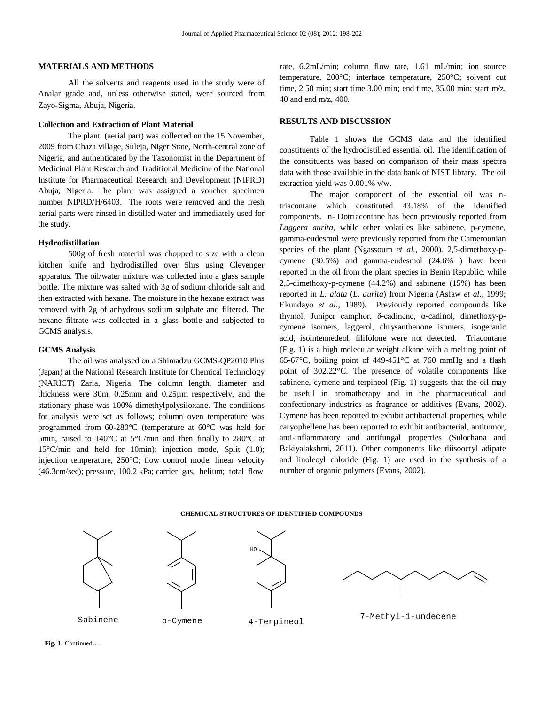#### **MATERIALS AND METHODS**

All the solvents and reagents used in the study were of Analar grade and, unless otherwise stated, were sourced from Zayo-Sigma, Abuja, Nigeria.

#### **Collection and Extraction of Plant Material**

The plant (aerial part) was collected on the 15 November, 2009 from Chaza village, Suleja, Niger State, North-central zone of Nigeria, and authenticated by the Taxonomist in the Department of Medicinal Plant Research and Traditional Medicine of the National Institute for Pharmaceutical Research and Development (NIPRD) Abuja, Nigeria. The plant was assigned a voucher specimen number NIPRD/H/6403. The roots were removed and the fresh aerial parts were rinsed in distilled water and immediately used for the study.

#### **Hydrodistillation**

500g of fresh material was chopped to size with a clean kitchen knife and hydrodistilled over 5hrs using Clevenger apparatus. The oil/water mixture was collected into a glass sample bottle. The mixture was salted with 3g of sodium chloride salt and then extracted with hexane. The moisture in the hexane extract was removed with 2g of anhydrous sodium sulphate and filtered. The hexane filtrate was collected in a glass bottle and subjected to GCMS analysis.

#### **GCMS Analysis**

The oil was analysed on a Shimadzu GCMS-QP2010 Plus (Japan) at the National Research Institute for Chemical Technology (NARICT) Zaria, Nigeria. The column length, diameter and thickness were 30m, 0.25mm and 0.25µm respectively, and the stationary phase was 100% dimethylpolysiloxane. The conditions for analysis were set as follows; column oven temperature was programmed from 60-280°C (temperature at 60°C was held for 5min, raised to 140°C at 5°C/min and then finally to 280°C at 15°C/min and held for 10min); injection mode, Split (1.0); injection temperature, 250°C; flow control mode, linear velocity (46.3cm/sec); pressure, 100.2 kPa; carrier gas, helium; total flow

rate, 6.2mL/min; column flow rate, 1.61 mL/min; ion source temperature, 200°C; interface temperature, 250°C; solvent cut time, 2.50 min; start time 3.00 min; end time, 35.00 min; start m/z, 40 and end m/z, 400.

### **RESULTS AND DISCUSSION**

Table 1 shows the GCMS data and the identified constituents of the hydrodistilled essential oil. The identification of the constituents was based on comparison of their mass spectra data with those available in the data bank of NIST library. The oil extraction yield was 0.001% v/w.

The major component of the essential oil was ntriacontane which constituted 43.18% of the identified components. n- Dotriacontane has been previously reported from *Laggera aurita*, while other volatiles like sabinene, p-cymene, gamma-eudesmol were previously reported from the Cameroonian species of the plant (Ngassoum *et al.*, 2000). 2,5-dimethoxy-pcymene (30.5%) and gamma-eudesmol (24.6% ) have been reported in the oil from the plant species in Benin Republic, while 2,5-dimethoxy-p-cymene (44.2%) and sabinene (15%) has been reported in *L. alata* (*L. aurita*) from Nigeria (Asfaw *et al.*, 1999; Ekundayo *et al.*, 1989). Previously reported compounds like thymol, Juniper camphor, δ-cadinene, α-cadinol, dimethoxy-pcymene isomers, laggerol, chrysanthenone isomers, isogeranic acid, isointennedeol, filifolone were not detected. Triacontane (Fig. 1) is a high molecular weight alkane with a melting point of 65-67°C, boiling point of 449-451°C at 760 mmHg and a flash point of 302.22°C. The presence of volatile components like sabinene, cymene and terpineol (Fig. 1) suggests that the oil may be useful in aromatherapy and in the pharmaceutical and confectionary industries as fragrance or additives (Evans, 2002). Cymene has been reported to exhibit antibacterial properties, while caryophellene has been reported to exhibit antibacterial, antitumor, anti-inflammatory and antifungal properties (Sulochana and Bakiyalakshmi, 2011). Other components like diisooctyl adipate and linoleoyl chloride (Fig. 1) are used in the synthesis of a number of organic polymers (Evans, 2002).

#### **CHEMICAL STRUCTURES OF IDENTIFIED COMPOUNDS**

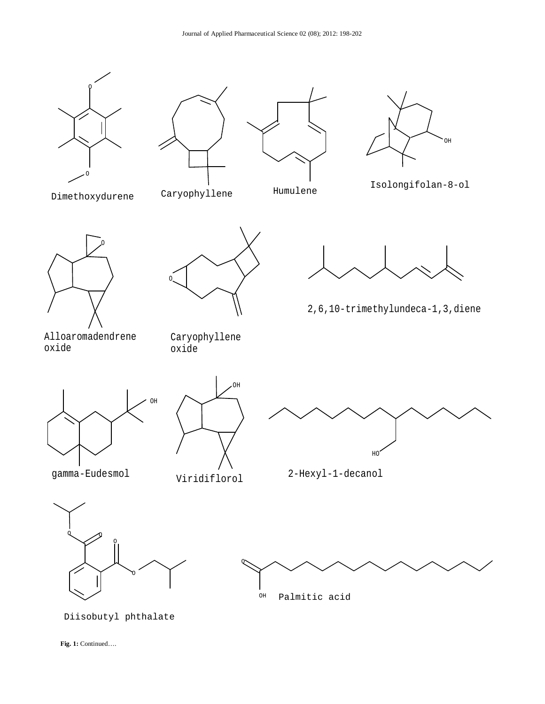









- 
- 



2,6,10-trimethylundeca-1,3,diene

O



Alloaromadendrene oxide

OH

Caryophyllene oxide

Viridiflorol



2-Hexyl-1-decanol





Diisobutyl phthalate

 **Fig. 1:** Continued….

gamma-Eudesmol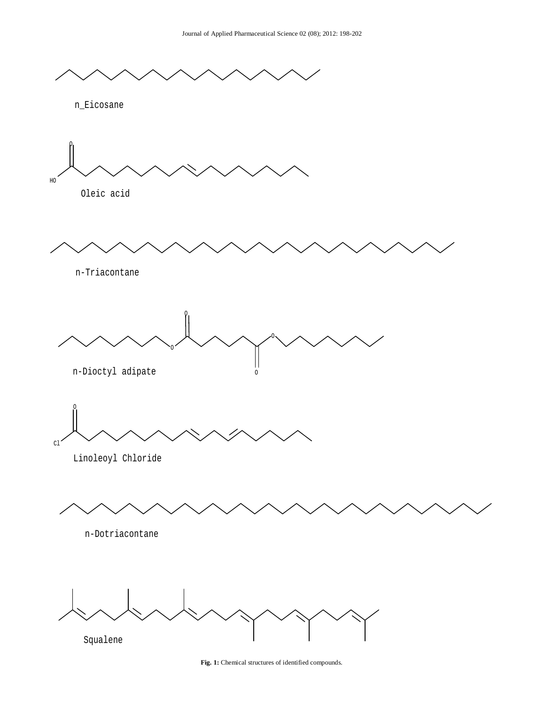

Fig. 1: Chemical structures of identified compounds.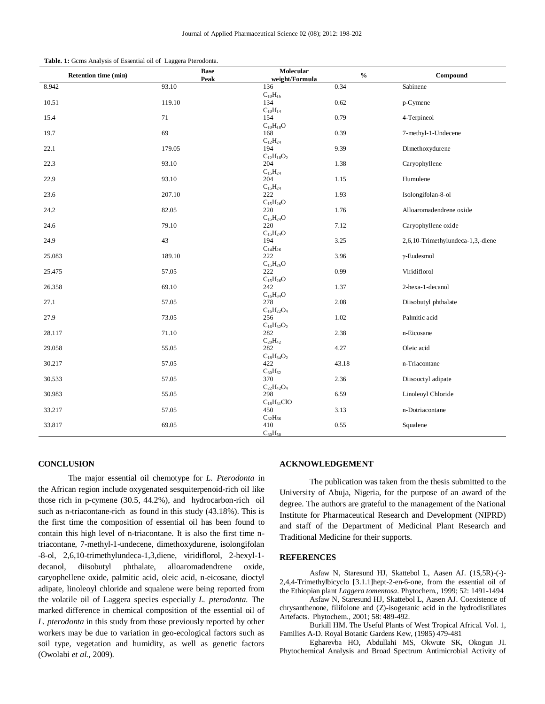|  | Table. 1: Gcms Analysis of Essential oil of Laggera Pterodonta. |  |
|--|-----------------------------------------------------------------|--|
|--|-----------------------------------------------------------------|--|

| Retention time (min) | <b>Base</b> | Molecular            | $\mathbf{0}_{\mathbf{0}}^{\prime}$ | Compound                          |
|----------------------|-------------|----------------------|------------------------------------|-----------------------------------|
|                      | Peak        | weight/Formula       |                                    |                                   |
| 8.942                | 93.10       | 136                  | 0.34                               | Sabinene                          |
|                      |             | $C_{10}H_{16}$       |                                    |                                   |
| 10.51                | 119.10      | 134                  | 0.62                               | p-Cymene                          |
|                      |             | $C_{10}H_{14}$       |                                    |                                   |
| 15.4                 | 71          | 154                  | 0.79                               | 4-Terpineol                       |
|                      |             | $C_{10}H_{18}O$      |                                    |                                   |
| 19.7                 | 69          | 168                  | 0.39                               | 7-methyl-1-Undecene               |
|                      |             | $C_{12}H_{24}$       |                                    |                                   |
| 22.1                 | 179.05      | 194                  | 9.39                               | Dimethoxydurene                   |
|                      |             | $C_{12}H_{18}O_2$    |                                    |                                   |
| 22.3                 | 93.10       | 204                  | 1.38                               | Caryophyllene                     |
|                      |             | $C_{15}H_{24}$       |                                    |                                   |
| 22.9                 | 93.10       | 204                  | 1.15                               | Humulene                          |
|                      |             | $C_{15}H_{24}$       |                                    |                                   |
| 23.6                 | 207.10      | 222                  | 1.93                               | Isolongifolan-8-ol                |
|                      |             | $C_{15}H_{26}O$      |                                    |                                   |
|                      |             |                      |                                    |                                   |
| 24.2                 | 82.05       | 220                  | 1.76                               | Alloaromadendrene oxide           |
|                      |             | $C_{15}H_{24}O$      |                                    |                                   |
| 24.6                 | 79.10       | 220                  | 7.12                               | Caryophyllene oxide               |
|                      |             | $\rm{C}_{15}H_{24}O$ |                                    |                                   |
| 24.9                 | 43          | 194                  | 3.25                               | 2,6,10-Trimethylundeca-1,3,-diene |
|                      |             | $C_{14}H_{26}$       |                                    |                                   |
| 25.083               | 189.10      | 222                  | 3.96                               | $\gamma$ -Eudesmol                |
|                      |             | $C_{15}H_{26}O$      |                                    |                                   |
| 25.475               | 57.05       | 222                  | 0.99                               | Viridiflorol                      |
|                      |             | $C_{15}H_{26}O$      |                                    |                                   |
| 26.358               | 69.10       | 242                  | 1.37                               | 2-hexa-1-decanol                  |
|                      |             | $C_{16}H_{34}O$      |                                    |                                   |
| 27.1                 | 57.05       | 278                  | 2.08                               | Diisobutyl phthalate              |
|                      |             | $C_{16}H_{22}O_4$    |                                    |                                   |
| 27.9                 | 73.05       | 256                  | 1.02                               | Palmitic acid                     |
|                      |             | $C_{16}H_{32}O_2$    |                                    |                                   |
| 28.117               | 71.10       | 282                  | 2.38                               | n-Eicosane                        |
|                      |             | $C_{20}H_{42}$       |                                    |                                   |
| 29.058               | 55.05       | 282                  | 4.27                               | Oleic acid                        |
|                      |             | $C_{18}H_{34}O_2$    |                                    |                                   |
| 30.217               | 57.05       | 422                  | 43.18                              | n-Triacontane                     |
|                      |             | $C_{30}H_{62}$       |                                    |                                   |
| 30.533               | 57.05       | 370                  | 2.36                               | Diisooctyl adipate                |
|                      |             |                      |                                    |                                   |
|                      |             | $C_{22}H_{42}O_4$    |                                    |                                   |
| 30.983               | 55.05       | 298                  | 6.59                               | Linoleoyl Chloride                |
|                      |             | $C_{18}H_{31}ClO$    |                                    |                                   |
| 33.217               | 57.05       | 450                  | 3.13                               | n-Dotriacontane                   |
|                      |             | $C_{32}H_{66}$       |                                    |                                   |
| 33.817               | 69.05       | 410                  | 0.55                               | Squalene                          |
|                      |             | $C_{30}H_{50}$       |                                    |                                   |

#### **CONCLUSION**

The major essential oil chemotype for *L. Pterodonta* in the African region include oxygenated sesquiterpenoid-rich oil like those rich in p-cymene (30.5, 44.2%), and hydrocarbon-rich oil such as n-triacontane-rich as found in this study (43.18%). This is the first time the composition of essential oil has been found to contain this high level of n-triacontane. It is also the first time ntriacontane, 7-methyl-1-undecene, dimethoxydurene, isolongifolan -8-ol, 2,6,10-trimethylundeca-1,3,diene, viridiflorol, 2-hexyl-1 decanol, diisobutyl phthalate, alloaromadendrene oxide, caryophellene oxide, palmitic acid, oleic acid, n-eicosane, dioctyl adipate, linoleoyl chloride and squalene were being reported from the volatile oil of Laggera species especially *L. pterodonta*. The marked difference in chemical composition of the essential oil of *L. pterodonta* in this study from those previously reported by other workers may be due to variation in geo-ecological factors such as soil type, vegetation and humidity, as well as genetic factors (Owolabi *et al.*, 2009).

#### **ACKNOWLEDGEMENT**

The publication was taken from the thesis submitted to the University of Abuja, Nigeria, for the purpose of an award of the degree. The authors are grateful to the management of the National Institute for Pharmaceutical Research and Development (NIPRD) and staff of the Department of Medicinal Plant Research and Traditional Medicine for their supports.

## **REFERENCES**

Asfaw N, Staresund HJ, Skattebol L, Aasen AJ. (1S,5R)-(-)- 2,4,4-Trimethylbicyclo [3.1.1]hept-2-en-6-one, from the essential oil of the Ethiopian plant *Laggera tomentosa*. Phytochem., 1999; 52: 1491-1494

Asfaw N, Staresund HJ, Skattebol L, Aasen AJ. Coexistence of chrysanthenone, filifolone and (Z)-isogeranic acid in the hydrodistillates Artefacts. Phytochem.*,* 2001; 58: 489-492.

Burkill HM. The Useful Plants of West Tropical Africal. Vol. 1, Families A-D. Royal Botanic Gardens Kew, (1985) 479-481

Egharevba HO, Abdullahi MS, Okwute SK, Okogun JI. Phytochemical Analysis and Broad Spectrum Antimicrobial Activity of